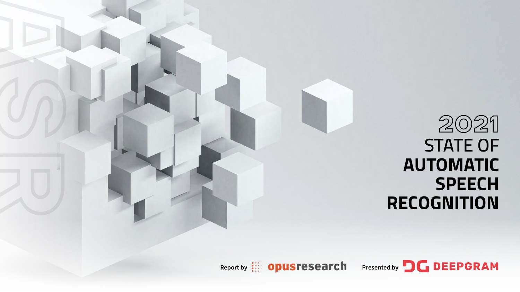

## **2021 STATE OF AUTOMATIC SPEECH RECOGNITION**

Presented by **DEEPGRAM**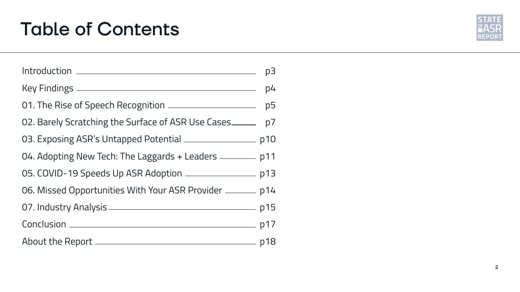## Table of Contents

|                                                                     | p3 |
|---------------------------------------------------------------------|----|
|                                                                     |    |
| 01. The Rise of Speech Recognition _____________________________ p5 |    |
| 02. Barely Scratching the Surface of ASR Use Cases _______ p7       |    |
| 03. Exposing ASR's Untapped Potential _____________________ p10     |    |
| 04. Adopting New Tech: The Laggards + Leaders _________ p11         |    |
| 05. COVID-19 Speeds Up ASR Adoption _______________________ p13     |    |
| 06. Missed Opportunities With Your ASR Provider ________ p14        |    |
|                                                                     |    |
|                                                                     |    |
|                                                                     |    |

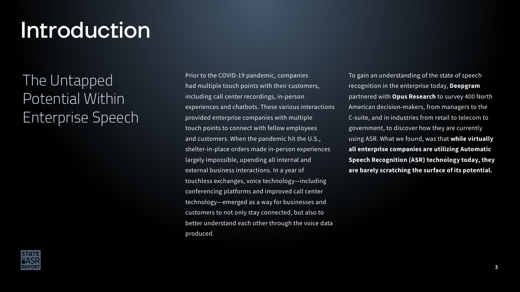# Introduction

## The Untapped Potential Within Enterprise Speech

To gain an understanding of the state of speech recognition in the enterprise today, Deepgram partnered with **Opus Research** to survey 400 North American decision-makers, from managers to the C-suite, and in industries from retail to telecom to government, to discover how they are currently using ASR. What we found, was that while virtually all enterprise companies are utilizing Automatic Speech Recognition (ASR) technology today, they are barely scratching the surface of its potential.

Prior to the COVID-19 pandemic, companies had multiple touch points with their customers, including call center recordings, in-person experiences and chatbots. These various interactions provided enterprise companies with multiple touch points to connect with fellow employees and customers. When the pandemic hit the U.S., shelter-in-place orders made in-person experiences largely impossible, upending all internal and external business interactions. In a year of touchless exchanges, voice technology—including conferencing platforms and improved call center technology—emerged as a way for businesses and customers to not only stay connected, but also to better understand each other through the voice data produced.

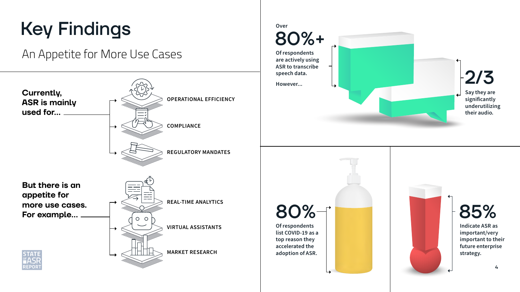# Key Findings

## An Appetite for More Use Cases







80%+ Of respondents are actively using ASR to transcribe speech data. However... **Over** 80% 85% Of respondents list COVID-19 as a

Indicate ASR as important/very important to their future enterprise strategy.

top reason they accelerated the adoption of ASR.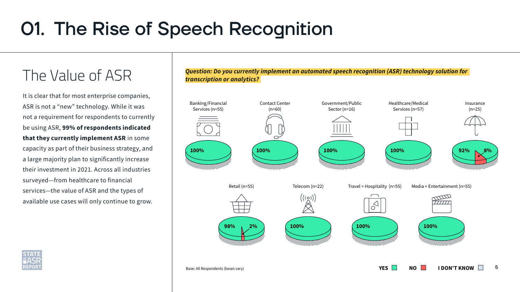# 01. The Rise of Speech Recognition

## The Value of ASR

It is clear that for most enterprise companies, ASR is not a "new" technology. While it was not a requirement for respondents to currently be using ASR, 99% of respondents indicated that they currently implement ASR in some capacity as part of their business strategy, and a large majority plan to significantly increase their investment in 2021. Across all industries surveyed—from healthcare to financial services—the value of ASR and the types of available use cases will only continue to grow.



### *Question: Do you currently implement an automated speech recognition (ASR) technology solution for transcription or analytics?*

Base: All Respondents (bases vary)



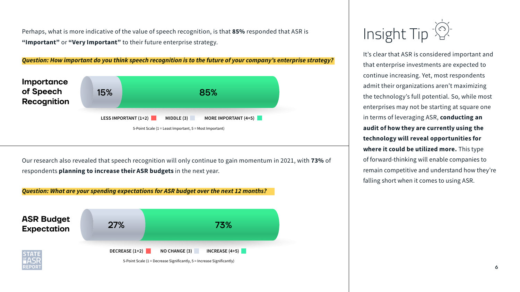It's clear that ASR is considered important and that enterprise investments are expected to continue increasing. Yet, most respondents admit their organizations aren't maximizing the technology's full potential. So, while most enterprises may not be starting at square one in terms of leveraging ASR, conducting an audit of how they are currently using the technology will reveal opportunities for where it could be utilized more. This type of forward-thinking will enable companies to remain competitive and understand how they're falling short when it comes to using ASR.

Perhaps, what is more indicative of the value of speech recognition, is that 85% responded that ASR is "Important" or "Very Important" to their future enterprise strategy.





# Insight Tip<sup>-(2)</sup>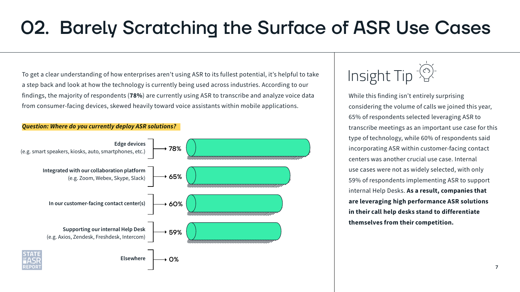To get a clear understanding of how enterprises aren't using ASR to its fullest potential, it's helpful to take a step back and look at how the technology is currently being used across industries. According to our findings, the majority of respondents (78%) are currently using ASR to transcribe and analyze voice data from consumer-facing devices, skewed heavily toward voice assistants within mobile applications.

While this finding isn't entirely surprising considering the volume of calls we joined this year, 65% of respondents selected leveraging ASR to transcribe meetings as an important use case for this type of technology, while 60% of respondents said incorporating ASR within customer-facing contact centers was another crucial use case. Internal use cases were not as widely selected, with only 59% of respondents implementing ASR to support internal Help Desks. As a result, companies that are leveraging high performance ASR solutions in their call help desks stand to differentiate themselves from their competition.

Insight Tip<sup>-(2)</sup>

# 02. Barely Scratching the Surface of ASR Use Cases



### *Question: Where do you currently deploy ASR solutions?*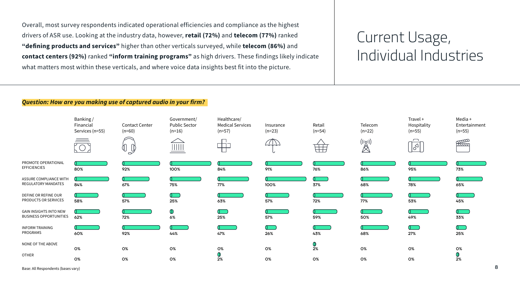Overall, most survey respondents indicated operational efficiencies and compliance as the highest drivers of ASR use. Looking at the industry data, however, retail (72%) and telecom (77%) ranked "defining products and services" higher than other verticals surveyed, while telecom (86%) and contact centers (92%) ranked "inform training programs" as high drivers. These findings likely indicate what matters most within these verticals, and where voice data insights best fit into the picture.

### *Question: How are you making use of captured audio in your firm?*



## Current Usage, Individual Industries

Base: All Respondents (bases vary)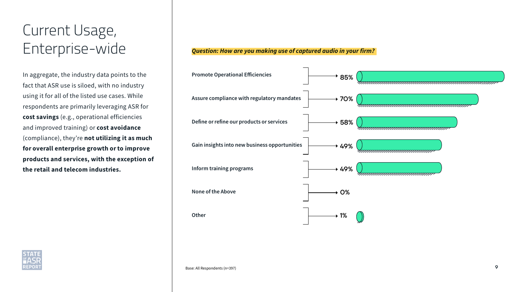## Current Usage, Enterprise-wide

In aggregate, the industry data points to the fact that ASR use is siloed, with no industry using it for all of the listed use cases. While respondents are primarily leveraging ASR for cost savings (e.g., operational efficiencies and improved training) or cost avoidance (compliance), they're not utilizing it as much for overall enterprise growth or to improve products and services, with the exception of the retail and telecom industries.





### *Question: How are you making use of captured audio in your firm?*

Base: All Respondents (n=397)



| uuuuuuuuuuuuuuuuu |
|-------------------|
|                   |
|                   |
|                   |
|                   |
| ununununununun    |
|                   |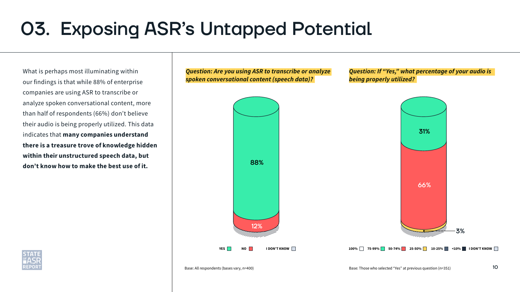What is perhaps most illuminating within our findings is that while 88% of enterprise companies are using ASR to transcribe or analyze spoken conversational content, more than half of respondents (66%) don't believe their audio is being properly utilized. This data indicates that many companies understand there is a treasure trove of knowledge hidden within their unstructured speech data, but don't know how to make the best use of it.

# 03. Exposing ASR's Untapped Potential

*Question: Are you using ASR to transcribe or analyze spoken conversational content (speech data)?*

### *Question: If "Yes," what percentage of your audio is being properly utilized?*





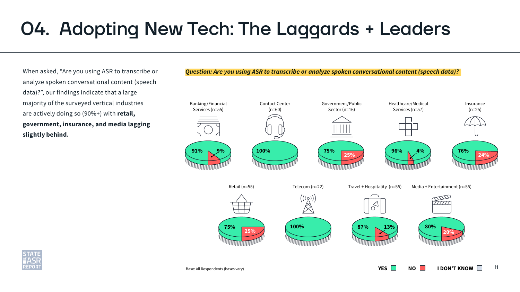When asked, "Are you using ASR to transcribe or analyze spoken conversational content (speech data)?", our findings indicate that a large majority of the surveyed vertical industries are actively doing so (90%+) with retail, government, insurance, and media lagging slightly behind.

# 04. Adopting New Tech: The Laggards + Leaders



Base: All Respondents (bases vary)





- 
- Media + Entertainment (n=55)



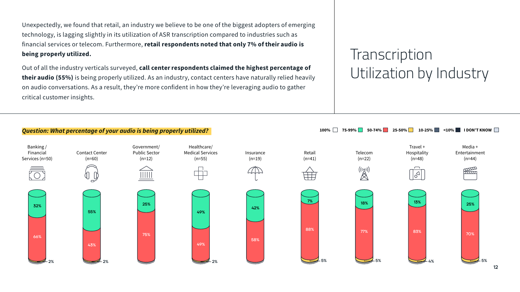Unexpectedly, we found that retail, an industry we believe to be one of the biggest adopters of emerging technology, is lagging slightly in its utilization of ASR transcription compared to industries such as financial services or telecom. Furthermore, retail respondents noted that only 7% of their audio is being properly utilized.

Out of all the industry verticals surveyed, call center respondents claimed the highest percentage of their audio (55%) is being properly utilized. As an industry, contact centers have naturally relied heavily on audio conversations. As a result, they're more confident in how they're leveraging audio to gather critical customer insights.

## **Transcription** Utilization by Industry

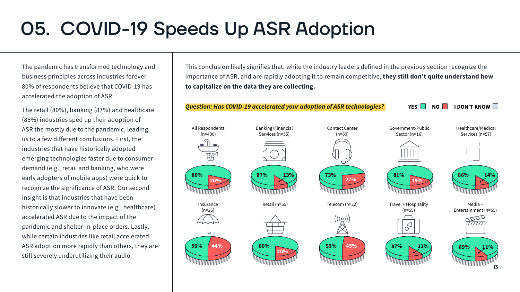The pandemic has transformed technology and business principles across industries forever. 80% of respondents believe that COVID-19 has accelerated the adoption of ASR.

The retail (80%), banking (87%) and healthcare (86%) industries sped up their adoption of ASR the mostly due to the pandemic, leading us to a few different conclusions. First, the industries that have historically adopted emerging technologies faster due to consumer demand (e.g., retail and banking, who were early adopters of mobile apps) were quick to recognize the significance of ASR. Our second insight is that industries that have been historically slower to innovate (e.g., healthcare) accelerated ASR due to the impact of the pandemic and shelter-in-place orders. Lastly, while certain industries like retail accelerated ASR adoption more rapidly than others, they are still severely underutilizing their audio.

![](_page_12_Figure_5.jpeg)

This conclusion likely signifies that, while the industry leaders defined in the previous section recognize the importance of ASR, and are rapidly adopting it to remain competitive, they still don't quite understand how to capitalize on the data they are collecting.

# 05. COVID-19 Speeds Up ASR Adoption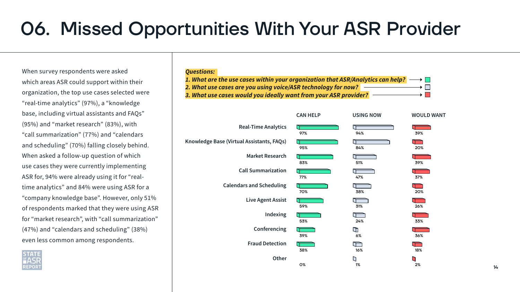When survey respondents were asked which areas ASR could support within their organization, the top use cases selected were "real-time analytics" (97%), a "knowledge base, including virtual assistants and FAQs" (95%) and "market research" (83%), with "call summarization" (77%) and "calendars and scheduling" (70%) falling closely behind. When asked a follow-up question of which use cases they were currently implementing ASR for, 94% were already using it for "realtime analytics" and 84% were using ASR for a "company knowledge base". However, only 51% of respondents marked that they were using ASR for "market research", with "call summarization" (47%) and "calendars and scheduling" (38%) even less common among respondents.

# 06. Missed Opportunities With Your ASR Provider

### *Questions:*

- 
- 
- 

![](_page_13_Figure_7.jpeg)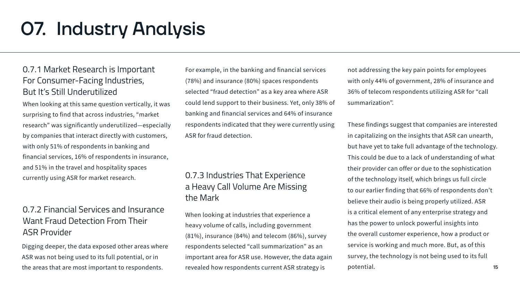### 0.7.1 Market Research is Important For Consumer-Facing Industries, But It's Still Underutilized

### 0.7.2 Financial Services and Insurance Want Fraud Detection From Their ASR Provider

### 0.7.3 Industries That Experience a Heavy Call Volume Are Missing the Mark

# 07. Industry Analysis

When looking at this same question vertically, it was surprising to find that across industries, "market research" was significantly underutilized—especially by companies that interact directly with customers, with only 51% of respondents in banking and financial services, 16% of respondents in insurance, and 51% in the travel and hospitality spaces currently using ASR for market research.

For example, in the banking and financial services (78%) and insurance (80%) spaces respondents selected "fraud detection" as a key area where ASR could lend support to their business. Yet, only 38% of banking and financial services and 64% of insurance respondents indicated that they were currently using ASR for fraud detection.

15 These findings suggest that companies are interested in capitalizing on the insights that ASR can unearth, but have yet to take full advantage of the technology. This could be due to a lack of understanding of what their provider can offer or due to the sophistication of the technology itself, which brings us full circle to our earlier finding that 66% of respondents don't believe their audio is being properly utilized. ASR is a critical element of any enterprise strategy and has the power to unlock powerful insights into the overall customer experience, how a product or service is working and much more. But, as of this survey, the technology is not being used to its full

When looking at industries that experience a heavy volume of calls, including government (81%), insurance (84%) and telecom (86%), survey respondents selected "call summarization" as an important area for ASR use. However, the data again revealed how respondents current ASR strategy is

Digging deeper, the data exposed other areas where ASR was not being used to its full potential, or in the areas that are most important to respondents.

not addressing the key pain points for employees with only 44% of government, 28% of insurance and 36% of telecom respondents utilizing ASR for "call summarization".

potential.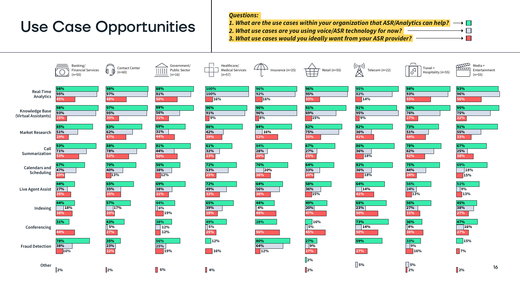![](_page_15_Figure_5.jpeg)

![](_page_15_Figure_6.jpeg)

### *Questions:*

1. What are the use cases within your organization that ASR/Analytics can help?  $\longrightarrow$ 

*2. What use cases are you using voice/ASR technology for now?*

*3. What use cases would you ideally want from your ASR provider?*

## Use Case Opportunities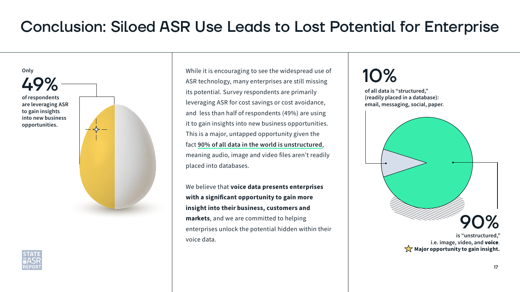While it is encouraging to see the widespread use of ASR technology, many enterprises are still missing its potential. Survey respondents are primarily leveraging ASR for cost savings or cost avoidance, and less than half of respondents (49%) are using it to gain insights into new business opportunities. This is a major, untapped opportunity given the fact [90% of all data in the world is unstructured](https://www.forbes.com/sites/bernardmarr/2019/10/16/what-is-unstructured-data-and-why-is-it-so-important-to-businesses-an-easy-explanation-for-anyone/?sh=8cc468515f64), meaning audio, image and video files aren't readily placed into databases.

We believe that voice data presents enterprises with a significant opportunity to gain more insight into their business, customers and markets, and we are committed to helping enterprises unlock the potential hidden within their voice data.

![](_page_16_Picture_4.jpeg)

## Conclusion: Siloed ASR Use Leads to Lost Potential for Enterprise

![](_page_16_Picture_7.jpeg)

 $\sqrt{\mathbf{x}}$  Major opportunity to gain insight.

![](_page_16_Figure_1.jpeg)

of all data is "structured," (readily placed in a database): email, messaging, social, paper.